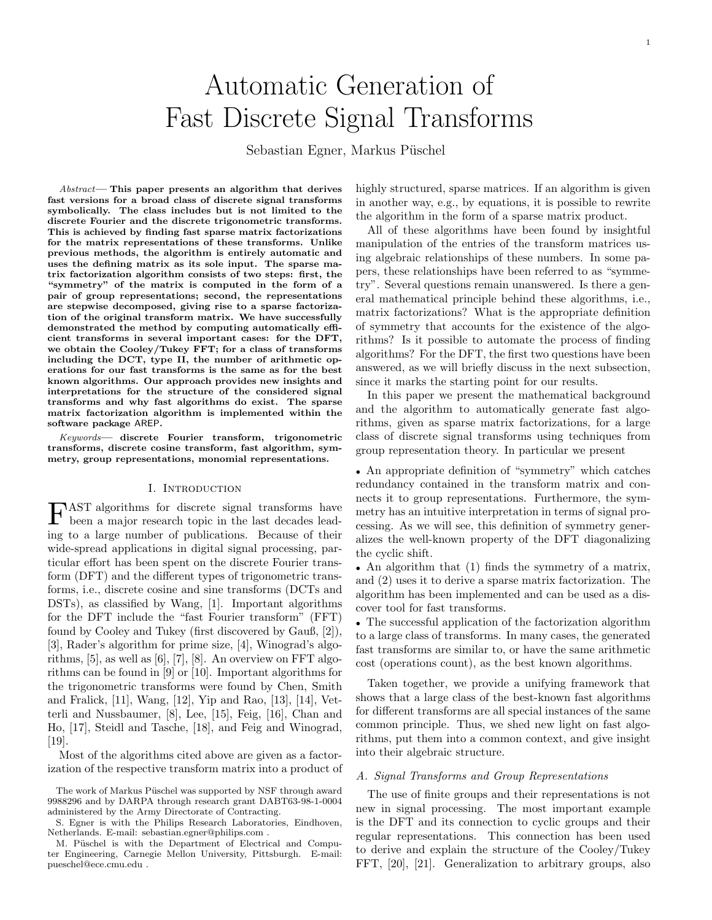# Automatic Generation of Fast Discrete Signal Transforms

Sebastian Egner, Markus Püschel

Abstract— This paper presents an algorithm that derives fast versions for a broad class of discrete signal transforms symbolically. The class includes but is not limited to the discrete Fourier and the discrete trigonometric transforms. This is achieved by finding fast sparse matrix factorizations for the matrix representations of these transforms. Unlike previous methods, the algorithm is entirely automatic and uses the defining matrix as its sole input. The sparse matrix factorization algorithm consists of two steps: first, the "symmetry" of the matrix is computed in the form of a pair of group representations; second, the representations are stepwise decomposed, giving rise to a sparse factorization of the original transform matrix. We have successfully demonstrated the method by computing automatically efficient transforms in several important cases: for the DFT, we obtain the Cooley/Tukey FFT; for a class of transforms including the DCT, type II, the number of arithmetic operations for our fast transforms is the same as for the best known algorithms. Our approach provides new insights and interpretations for the structure of the considered signal transforms and why fast algorithms do exist. The sparse matrix factorization algorithm is implemented within the software package AREP.

Keywords— discrete Fourier transform, trigonometric transforms, discrete cosine transform, fast algorithm, symmetry, group representations, monomial representations.

#### I. INTRODUCTION

**FAST** algorithms for discrete signal transforms have been a major research topic in the last decades leadbeen a major research topic in the last decades leading to a large number of publications. Because of their wide-spread applications in digital signal processing, particular effort has been spent on the discrete Fourier transform (DFT) and the different types of trigonometric transforms, i.e., discrete cosine and sine transforms (DCTs and DSTs), as classified by Wang, [1]. Important algorithms for the DFT include the "fast Fourier transform" (FFT) found by Cooley and Tukey (first discovered by Gauß, [2]), [3], Rader's algorithm for prime size, [4], Winograd's algorithms, [5], as well as [6], [7], [8]. An overview on FFT algorithms can be found in [9] or [10]. Important algorithms for the trigonometric transforms were found by Chen, Smith and Fralick, [11], Wang, [12], Yip and Rao, [13], [14], Vetterli and Nussbaumer, [8], Lee, [15], Feig, [16], Chan and Ho, [17], Steidl and Tasche, [18], and Feig and Winograd, [19].

Most of the algorithms cited above are given as a factorization of the respective transform matrix into a product of highly structured, sparse matrices. If an algorithm is given in another way, e.g., by equations, it is possible to rewrite the algorithm in the form of a sparse matrix product.

1

All of these algorithms have been found by insightful manipulation of the entries of the transform matrices using algebraic relationships of these numbers. In some papers, these relationships have been referred to as "symmetry". Several questions remain unanswered. Is there a general mathematical principle behind these algorithms, i.e., matrix factorizations? What is the appropriate definition of symmetry that accounts for the existence of the algorithms? Is it possible to automate the process of finding algorithms? For the DFT, the first two questions have been answered, as we will briefly discuss in the next subsection, since it marks the starting point for our results.

In this paper we present the mathematical background and the algorithm to automatically generate fast algorithms, given as sparse matrix factorizations, for a large class of discrete signal transforms using techniques from group representation theory. In particular we present

• An appropriate definition of "symmetry" which catches redundancy contained in the transform matrix and connects it to group representations. Furthermore, the symmetry has an intuitive interpretation in terms of signal processing. As we will see, this definition of symmetry generalizes the well-known property of the DFT diagonalizing the cyclic shift.

• An algorithm that (1) finds the symmetry of a matrix, and (2) uses it to derive a sparse matrix factorization. The algorithm has been implemented and can be used as a discover tool for fast transforms.

• The successful application of the factorization algorithm to a large class of transforms. In many cases, the generated fast transforms are similar to, or have the same arithmetic cost (operations count), as the best known algorithms.

Taken together, we provide a unifying framework that shows that a large class of the best-known fast algorithms for different transforms are all special instances of the same common principle. Thus, we shed new light on fast algorithms, put them into a common context, and give insight into their algebraic structure.

#### A. Signal Transforms and Group Representations

The use of finite groups and their representations is not new in signal processing. The most important example is the DFT and its connection to cyclic groups and their regular representations. This connection has been used to derive and explain the structure of the Cooley/Tukey FFT, [20], [21]. Generalization to arbitrary groups, also

The work of Markus Püschel was supported by NSF through award 9988296 and by DARPA through research grant DABT63-98-1-0004 administered by the Army Directorate of Contracting.

S. Egner is with the Philips Research Laboratories, Eindhoven, Netherlands. E-mail: sebastian.egner@philips.com .

M. Püschel is with the Department of Electrical and Computer Engineering, Carnegie Mellon University, Pittsburgh. E-mail: pueschel@ece.cmu.edu .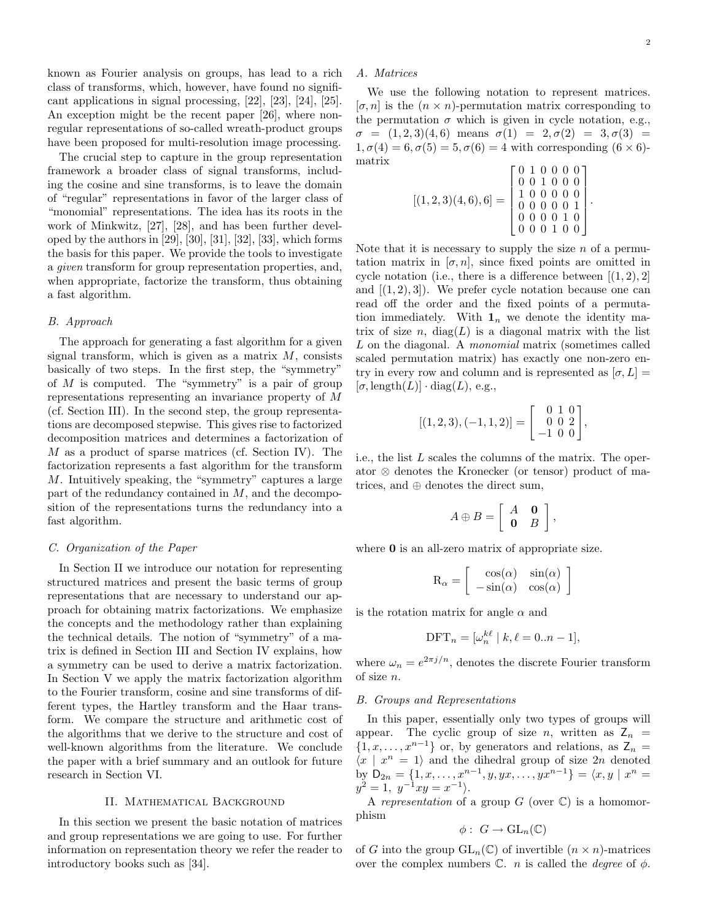.

known as Fourier analysis on groups, has lead to a rich class of transforms, which, however, have found no significant applications in signal processing, [22], [23], [24], [25]. An exception might be the recent paper [26], where nonregular representations of so-called wreath-product groups have been proposed for multi-resolution image processing.

The crucial step to capture in the group representation framework a broader class of signal transforms, including the cosine and sine transforms, is to leave the domain of "regular" representations in favor of the larger class of "monomial" representations. The idea has its roots in the work of Minkwitz, [27], [28], and has been further developed by the authors in [29], [30], [31], [32], [33], which forms the basis for this paper. We provide the tools to investigate a given transform for group representation properties, and, when appropriate, factorize the transform, thus obtaining a fast algorithm.

#### B. Approach

The approach for generating a fast algorithm for a given signal transform, which is given as a matrix  $M$ , consists basically of two steps. In the first step, the "symmetry" of  $M$  is computed. The "symmetry" is a pair of group representations representing an invariance property of M (cf. Section III). In the second step, the group representations are decomposed stepwise. This gives rise to factorized decomposition matrices and determines a factorization of  $M$  as a product of sparse matrices (cf. Section IV). The factorization represents a fast algorithm for the transform M. Intuitively speaking, the "symmetry" captures a large part of the redundancy contained in  $M$ , and the decomposition of the representations turns the redundancy into a fast algorithm.

## C. Organization of the Paper

In Section II we introduce our notation for representing structured matrices and present the basic terms of group representations that are necessary to understand our approach for obtaining matrix factorizations. We emphasize the concepts and the methodology rather than explaining the technical details. The notion of "symmetry" of a matrix is defined in Section III and Section IV explains, how a symmetry can be used to derive a matrix factorization. In Section V we apply the matrix factorization algorithm to the Fourier transform, cosine and sine transforms of different types, the Hartley transform and the Haar transform. We compare the structure and arithmetic cost of the algorithms that we derive to the structure and cost of well-known algorithms from the literature. We conclude the paper with a brief summary and an outlook for future research in Section VI.

#### II. Mathematical Background

In this section we present the basic notation of matrices and group representations we are going to use. For further information on representation theory we refer the reader to introductory books such as [34].

#### A. Matrices

We use the following notation to represent matrices.  $[\sigma, n]$  is the  $(n \times n)$ -permutation matrix corresponding to the permutation  $\sigma$  which is given in cycle notation, e.g.,  $\sigma = (1, 2, 3)(4, 6)$  means  $\sigma(1) = 2, \sigma(2) = 3, \sigma(3) =$  $1, \sigma(4) = 6, \sigma(5) = 5, \sigma(6) = 4$  with corresponding  $(6 \times 6)$ matrix

$$
[(1,2,3)(4,6),6] = \begin{bmatrix} 0 & 1 & 0 & 0 & 0 & 0 \\ 0 & 0 & 1 & 0 & 0 & 0 \\ 1 & 0 & 0 & 0 & 0 & 0 \\ 0 & 0 & 0 & 0 & 0 & 1 \\ 0 & 0 & 0 & 0 & 1 & 0 \\ 0 & 0 & 0 & 1 & 0 & 0 \end{bmatrix}
$$

Note that it is necessary to supply the size  $n$  of a permutation matrix in  $[\sigma, n]$ , since fixed points are omitted in cycle notation (i.e., there is a difference between  $[(1, 2), 2]$ ) and  $[(1, 2), 3]$ . We prefer cycle notation because one can read off the order and the fixed points of a permutation immediately. With  $\mathbf{1}_n$  we denote the identity matrix of size  $n$ , diag( $L$ ) is a diagonal matrix with the list L on the diagonal. A *monomial* matrix (sometimes called scaled permutation matrix) has exactly one non-zero entry in every row and column and is represented as  $[\sigma, L] =$  $[\sigma, \mathrm{length}(L)] \cdot \mathrm{diag}(L)$ , e.g.,

$$
[(1,2,3),(-1,1,2)]=\left[\begin{array}{rr} 0 & 1 & 0\\ 0 & 0 & 2\\ -1 & 0 & 0 \end{array}\right],
$$

i.e., the list L scales the columns of the matrix. The operator ⊗ denotes the Kronecker (or tensor) product of matrices, and ⊕ denotes the direct sum,

$$
A \oplus B = \left[ \begin{array}{cc} A & \mathbf{0} \\ \mathbf{0} & B \end{array} \right],
$$

where **0** is an all-zero matrix of appropriate size.

$$
R_{\alpha} = \begin{bmatrix} \cos(\alpha) & \sin(\alpha) \\ -\sin(\alpha) & \cos(\alpha) \end{bmatrix}
$$

is the rotation matrix for angle  $\alpha$  and

$$
\text{DFT}_n = [\omega_n^{k\ell} \mid k, \ell = 0..n-1],
$$

where  $\omega_n = e^{2\pi j/n}$ , denotes the discrete Fourier transform of size n.

#### B. Groups and Representations

In this paper, essentially only two types of groups will appear. The cyclic group of size n, written as  $Z_n$  =  $\{1, x, \ldots, x^{n-1}\}\$  or, by generators and relations, as  $\mathsf{Z}_n =$  $\langle x | x^n = 1 \rangle$  and the dihedral group of size 2n denoted by  $D_{2n} = \{1, x, \ldots, x^{n-1}, y, yx, \ldots, yx^{n-1}\} = \langle x, y \mid x^n =$  $y^2 = 1, \ y^{-1}xy = x^{-1}.$ 

A representation of a group  $G$  (over  $\mathbb{C}$ ) is a homomorphism

$$
\phi: G \to \mathrm{GL}_n(\mathbb{C})
$$

of G into the group  $GL_n(\mathbb{C})$  of invertible  $(n \times n)$ -matrices over the complex numbers  $\mathbb{C}$ . *n* is called the *degree* of  $\phi$ .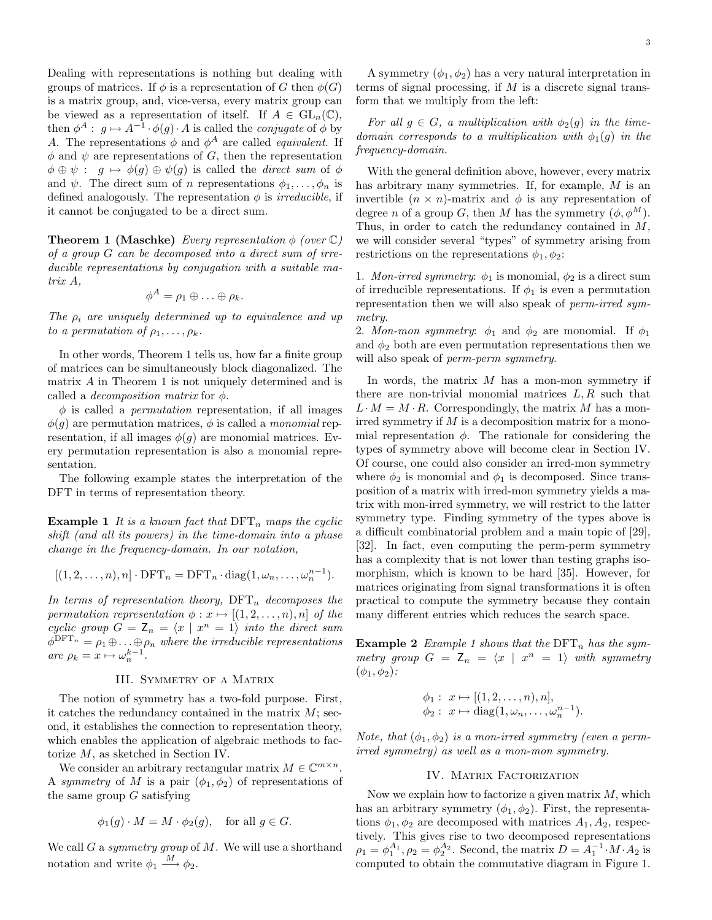Dealing with representations is nothing but dealing with groups of matrices. If  $\phi$  is a representation of G then  $\phi(G)$ is a matrix group, and, vice-versa, every matrix group can be viewed as a representation of itself. If  $A \in GL_n(\mathbb{C}),$ then  $\phi^A$ :  $g \mapsto A^{-1} \cdot \phi(g) \cdot A$  is called the *conjugate* of  $\phi$  by A. The representations  $\phi$  and  $\phi^A$  are called *equivalent*. If  $\phi$  and  $\psi$  are representations of G, then the representation  $\phi \oplus \psi : g \mapsto \phi(g) \oplus \psi(g)$  is called the *direct sum* of  $\phi$ and  $\psi$ . The direct sum of *n* representations  $\phi_1, \ldots, \phi_n$  is defined analogously. The representation  $\phi$  is *irreducible*, if it cannot be conjugated to be a direct sum.

**Theorem 1 (Maschke)** Every representation  $\phi$  (over  $\mathbb{C}$ ) of a group G can be decomposed into a direct sum of irreducible representations by conjugation with a suitable matrix A,

$$
\phi^A = \rho_1 \oplus \ldots \oplus \rho_k.
$$

The  $\rho_i$  are uniquely determined up to equivalence and up to a permutation of  $\rho_1, \ldots, \rho_k$ .

In other words, Theorem 1 tells us, how far a finite group of matrices can be simultaneously block diagonalized. The matrix A in Theorem 1 is not uniquely determined and is called a *decomposition matrix* for  $\phi$ .

 $\phi$  is called a *permutation* representation, if all images  $\phi(q)$  are permutation matrices,  $\phi$  is called a monomial representation, if all images  $\phi(g)$  are monomial matrices. Every permutation representation is also a monomial representation.

The following example states the interpretation of the DFT in terms of representation theory.

**Example 1** It is a known fact that  $\text{DFT}_n$  maps the cyclic shift (and all its powers) in the time-domain into a phase change in the frequency-domain. In our notation,

$$
[(1,2,\ldots,n),n] \cdot \text{DFT}_n = \text{DFT}_n \cdot \text{diag}(1,\omega_n,\ldots,\omega_n^{n-1}).
$$

In terms of representation theory,  $\text{DFT}_n$  decomposes the permutation representation  $\phi: x \mapsto [(1, 2, \ldots, n), n]$  of the cyclic group  $G = \mathsf{Z}_n = \langle x \mid x^n = 1 \rangle$  into the direct sum  $\phi^{\text{DFT}_n} = \rho_1 \oplus \ldots \oplus \rho_n$  where the irreducible representations are  $\rho_k = x \mapsto \omega_n^{k-1}$ .

#### III. SYMMETRY OF A MATRIX

The notion of symmetry has a two-fold purpose. First, it catches the redundancy contained in the matrix  $M$ ; second, it establishes the connection to representation theory, which enables the application of algebraic methods to factorize M, as sketched in Section IV.

We consider an arbitrary rectangular matrix  $M \in \mathbb{C}^{m \times n}$ . A symmetry of M is a pair  $(\phi_1, \phi_2)$  of representations of the same group  $G$  satisfying

$$
\phi_1(g) \cdot M = M \cdot \phi_2(g), \quad \text{for all } g \in G.
$$

We call G a symmetry group of M. We will use a shorthand notation and write  $\phi_1 \stackrel{M}{\longrightarrow} \phi_2$ .

A symmetry  $(\phi_1, \phi_2)$  has a very natural interpretation in terms of signal processing, if  $M$  is a discrete signal transform that we multiply from the left:

For all  $g \in G$ , a multiplication with  $\phi_2(g)$  in the timedomain corresponds to a multiplication with  $\phi_1(g)$  in the frequency-domain.

With the general definition above, however, every matrix has arbitrary many symmetries. If, for example, M is an invertible  $(n \times n)$ -matrix and  $\phi$  is any representation of degree n of a group G, then M has the symmetry  $(\phi, \phi^M)$ . Thus, in order to catch the redundancy contained in M, we will consider several "types" of symmetry arising from restrictions on the representations  $\phi_1, \phi_2$ :

1. Mon-irred symmetry:  $\phi_1$  is monomial,  $\phi_2$  is a direct sum of irreducible representations. If  $\phi_1$  is even a permutation representation then we will also speak of *perm-irred sym*metry.

2. Mon-mon symmetry:  $\phi_1$  and  $\phi_2$  are monomial. If  $\phi_1$ and  $\phi_2$  both are even permutation representations then we will also speak of *perm-perm symmetry*.

In words, the matrix  $M$  has a mon-mon symmetry if there are non-trivial monomial matrices  $L, R$  such that  $L \cdot M = M \cdot R$ . Correspondingly, the matrix M has a monirred symmetry if  $M$  is a decomposition matrix for a monomial representation  $\phi$ . The rationale for considering the types of symmetry above will become clear in Section IV. Of course, one could also consider an irred-mon symmetry where  $\phi_2$  is monomial and  $\phi_1$  is decomposed. Since transposition of a matrix with irred-mon symmetry yields a matrix with mon-irred symmetry, we will restrict to the latter symmetry type. Finding symmetry of the types above is a difficult combinatorial problem and a main topic of [29], [32]. In fact, even computing the perm-perm symmetry has a complexity that is not lower than testing graphs isomorphism, which is known to be hard [35]. However, for matrices originating from signal transformations it is often practical to compute the symmetry because they contain many different entries which reduces the search space.

**Example 2** Example 1 shows that the  $\text{DFT}_n$  has the symmetry group  $G = Z_n = \langle x | x^n = 1 \rangle$  with symmetry  $(\phi_1,\phi_2)$ :

$$
\phi_1: x \mapsto [(1, 2, \dots, n), n], \n\phi_2: x \mapsto diag(1, \omega_n, \dots, \omega_n^{n-1}).
$$

Note, that  $(\phi_1, \phi_2)$  is a mon-irred symmetry (even a permirred symmetry) as well as a mon-mon symmetry.

#### IV. MATRIX FACTORIZATION

Now we explain how to factorize a given matrix  $M$ , which has an arbitrary symmetry  $(\phi_1, \phi_2)$ . First, the representations  $\phi_1, \phi_2$  are decomposed with matrices  $A_1, A_2$ , respectively. This gives rise to two decomposed representations  $\rho_1 = \phi_1^{A_1}, \rho_2 = \phi_2^{A_2}$ . Second, the matrix  $D = A_1^{-1} \cdot M \cdot A_2$  is computed to obtain the commutative diagram in Figure 1.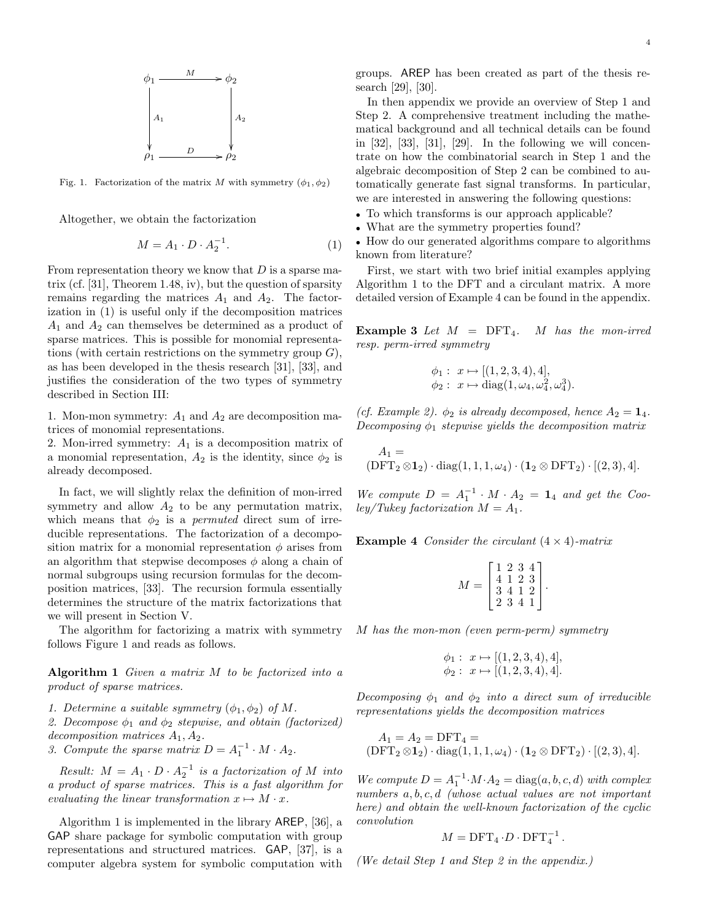

Fig. 1. Factorization of the matrix M with symmetry  $(\phi_1, \phi_2)$ 

Altogether, we obtain the factorization

$$
M = A_1 \cdot D \cdot A_2^{-1}.\tag{1}
$$

From representation theory we know that  $D$  is a sparse matrix (cf. [31], Theorem 1.48, iv), but the question of sparsity remains regarding the matrices  $A_1$  and  $A_2$ . The factorization in (1) is useful only if the decomposition matrices  $A_1$  and  $A_2$  can themselves be determined as a product of sparse matrices. This is possible for monomial representations (with certain restrictions on the symmetry group  $G$ ), as has been developed in the thesis research [31], [33], and justifies the consideration of the two types of symmetry described in Section III:

1. Mon-mon symmetry:  $A_1$  and  $A_2$  are decomposition matrices of monomial representations.

2. Mon-irred symmetry:  $A_1$  is a decomposition matrix of a monomial representation,  $A_2$  is the identity, since  $\phi_2$  is already decomposed.

In fact, we will slightly relax the definition of mon-irred symmetry and allow  $A_2$  to be any permutation matrix, which means that  $\phi_2$  is a *permuted* direct sum of irreducible representations. The factorization of a decomposition matrix for a monomial representation  $\phi$  arises from an algorithm that stepwise decomposes  $\phi$  along a chain of normal subgroups using recursion formulas for the decomposition matrices, [33]. The recursion formula essentially determines the structure of the matrix factorizations that we will present in Section V.

The algorithm for factorizing a matrix with symmetry follows Figure 1 and reads as follows.

Algorithm  $1$  Given a matrix  $M$  to be factorized into a product of sparse matrices.

1. Determine a suitable symmetry  $(\phi_1, \phi_2)$  of M.

2. Decompose  $\phi_1$  and  $\phi_2$  stepwise, and obtain (factorized) decomposition matrices  $A_1, A_2$ .

3. Compute the sparse matrix  $D = A_1^{-1} \cdot M \cdot A_2$ .

Result:  $M = A_1 \cdot D \cdot A_2^{-1}$  is a factorization of M into a product of sparse matrices. This is a fast algorithm for evaluating the linear transformation  $x \mapsto M \cdot x$ .

Algorithm 1 is implemented in the library AREP, [36], a GAP share package for symbolic computation with group representations and structured matrices. GAP, [37], is a computer algebra system for symbolic computation with

groups. AREP has been created as part of the thesis research [29], [30].

In then appendix we provide an overview of Step 1 and Step 2. A comprehensive treatment including the mathematical background and all technical details can be found in  $[32]$ ,  $[33]$ ,  $[31]$ ,  $[29]$ . In the following we will concentrate on how the combinatorial search in Step 1 and the algebraic decomposition of Step 2 can be combined to automatically generate fast signal transforms. In particular, we are interested in answering the following questions:

• To which transforms is our approach applicable?

• What are the symmetry properties found?

• How do our generated algorithms compare to algorithms known from literature?

First, we start with two brief initial examples applying Algorithm 1 to the DFT and a circulant matrix. A more detailed version of Example 4 can be found in the appendix.

**Example 3** Let  $M = DFT_4$ . M has the mon-irred resp. perm-irred symmetry

$$
\phi_1: x \mapsto [(1, 2, 3, 4), 4],
$$
  
\n $\phi_2: x \mapsto \text{diag}(1, \omega_4, \omega_4^2, \omega_4^3).$ 

(cf. Example 2).  $\phi_2$  is already decomposed, hence  $A_2 = \mathbf{1}_4$ . Decomposing  $\phi_1$  stepwise yields the decomposition matrix

$$
A_1 =
$$
  
(DFT<sub>2</sub>  $\otimes$ **1**<sub>2</sub>) · diag(1, 1, 1,  $\omega_4$ ) · (**1**<sub>2</sub>  $\otimes$  DFT<sub>2</sub>) · [(2, 3), 4].

We compute  $D = A_1^{-1} \cdot M \cdot A_2 = \mathbf{1}_4$  and get the Cooley/Tukey factorization  $M = A_1$ .

**Example 4** Consider the circulant  $(4 \times 4)$ -matrix

$$
M = \begin{bmatrix} 1 & 2 & 3 & 4 \\ 4 & 1 & 2 & 3 \\ 3 & 4 & 1 & 2 \\ 2 & 3 & 4 & 1 \end{bmatrix}.
$$

M has the mon-mon (even perm-perm) symmetry

$$
\phi_1: x \mapsto [(1, 2, 3, 4), 4], \n\phi_2: x \mapsto [(1, 2, 3, 4), 4].
$$

Decomposing  $\phi_1$  and  $\phi_2$  into a direct sum of irreducible representations yields the decomposition matrices

$$
A_1 = A_2 = DFT_4 =
$$
  
(DFT<sub>2</sub>  $\otimes$  1<sub>2</sub>) · diag(1, 1, 1,  $\omega_4$ ) · (1<sub>2</sub>  $\otimes$  DFT<sub>2</sub>) · [(2, 3), 4].

We compute  $D = A_1^{-1} \cdot M \cdot A_2 = \text{diag}(a, b, c, d)$  with complex numbers  $a, b, c, d$  (whose actual values are not important here) and obtain the well-known factorization of the cyclic convolution

$$
M = \text{DFT}_4 \cdot D \cdot \text{DFT}_4^{-1}.
$$

(We detail Step 1 and Step 2 in the appendix.)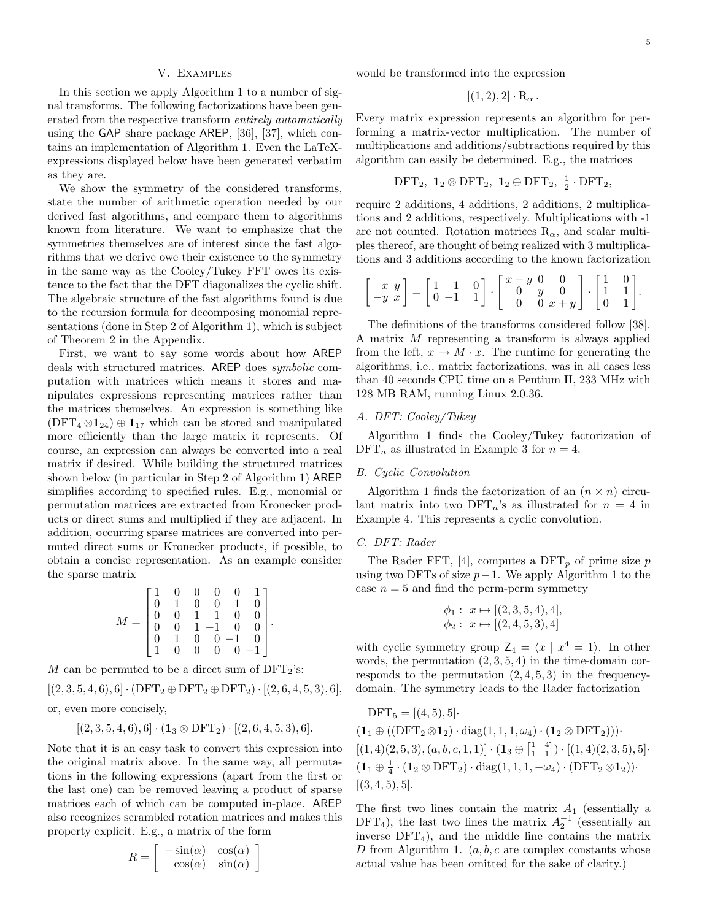### V. Examples

In this section we apply Algorithm 1 to a number of signal transforms. The following factorizations have been generated from the respective transform entirely automatically using the GAP share package AREP, [36], [37], which contains an implementation of Algorithm 1. Even the LaTeXexpressions displayed below have been generated verbatim as they are.

We show the symmetry of the considered transforms, state the number of arithmetic operation needed by our derived fast algorithms, and compare them to algorithms known from literature. We want to emphasize that the symmetries themselves are of interest since the fast algorithms that we derive owe their existence to the symmetry in the same way as the Cooley/Tukey FFT owes its existence to the fact that the DFT diagonalizes the cyclic shift. The algebraic structure of the fast algorithms found is due to the recursion formula for decomposing monomial representations (done in Step 2 of Algorithm 1), which is subject of Theorem 2 in the Appendix.

First, we want to say some words about how AREP deals with structured matrices. AREP does symbolic computation with matrices which means it stores and manipulates expressions representing matrices rather than the matrices themselves. An expression is something like  $(DFT_4 \otimes 1_{24}) \oplus 1_{17}$  which can be stored and manipulated more efficiently than the large matrix it represents. Of course, an expression can always be converted into a real matrix if desired. While building the structured matrices shown below (in particular in Step 2 of Algorithm 1) AREP simplifies according to specified rules. E.g., monomial or permutation matrices are extracted from Kronecker products or direct sums and multiplied if they are adjacent. In addition, occurring sparse matrices are converted into permuted direct sums or Kronecker products, if possible, to obtain a concise representation. As an example consider the sparse matrix

$$
M = \begin{bmatrix} 1 & 0 & 0 & 0 & 0 & 1 \\ 0 & 1 & 0 & 0 & 1 & 0 \\ 0 & 0 & 1 & 1 & 0 & 0 \\ 0 & 0 & 1 & -1 & 0 & 0 \\ 0 & 1 & 0 & 0 & -1 & 0 \\ 1 & 0 & 0 & 0 & 0 & -1 \end{bmatrix}.
$$

M can be permuted to be a direct sum of  $DFT_2$ 's:

 $[(2, 3, 5, 4, 6), 6] \cdot (DFT_2 \oplus DFT_2 \oplus DFT_2) \cdot [(2, 6, 4, 5, 3), 6],$ 

or, even more concisely,

$$
[(2,3,5,4,6),6] \cdot (\mathbf{1}_3 \otimes \mathrm{DFT}_2) \cdot [(2,6,4,5,3),6].
$$

Note that it is an easy task to convert this expression into the original matrix above. In the same way, all permutations in the following expressions (apart from the first or the last one) can be removed leaving a product of sparse matrices each of which can be computed in-place. AREP also recognizes scrambled rotation matrices and makes this property explicit. E.g., a matrix of the form

$$
R = \left[ \begin{array}{cc} -\sin(\alpha) & \cos(\alpha) \\ \cos(\alpha) & \sin(\alpha) \end{array} \right]
$$

would be transformed into the expression

$$
[(1,2),2]\cdot R_{\alpha}.
$$

Every matrix expression represents an algorithm for performing a matrix-vector multiplication. The number of multiplications and additions/subtractions required by this algorithm can easily be determined. E.g., the matrices

$$
DFT_2, \mathbf{1}_2 \otimes DFT_2, \mathbf{1}_2 \oplus DFT_2, \frac{1}{2} \cdot DFT_2,
$$

require 2 additions, 4 additions, 2 additions, 2 multiplications and 2 additions, respectively. Multiplications with -1 are not counted. Rotation matrices  $R_{\alpha}$ , and scalar multiples thereof, are thought of being realized with 3 multiplications and 3 additions according to the known factorization

$$
\begin{bmatrix} x & y \\ -y & x \end{bmatrix} = \begin{bmatrix} 1 & 1 & 0 \\ 0 & -1 & 1 \end{bmatrix} \cdot \begin{bmatrix} x - y & 0 & 0 \\ 0 & y & 0 \\ 0 & 0 & x + y \end{bmatrix} \cdot \begin{bmatrix} 1 & 0 \\ 1 & 1 \\ 0 & 1 \end{bmatrix}.
$$

The definitions of the transforms considered follow [38]. A matrix M representing a transform is always applied from the left,  $x \mapsto M \cdot x$ . The runtime for generating the algorithms, i.e., matrix factorizations, was in all cases less than 40 seconds CPU time on a Pentium II, 233 MHz with 128 MB RAM, running Linux 2.0.36.

### A. DFT: Cooley/Tukey

Algorithm 1 finds the Cooley/Tukey factorization of  $DFT_n$  as illustrated in Example 3 for  $n = 4$ .

#### B. Cyclic Convolution

Algorithm 1 finds the factorization of an  $(n \times n)$  circulant matrix into two  $DFT_n$ 's as illustrated for  $n = 4$  in Example 4. This represents a cyclic convolution.

#### C. DFT: Rader

The Rader FFT, [4], computes a  $\text{DFT}_p$  of prime size p using two DFTs of size  $p-1$ . We apply Algorithm 1 to the case  $n = 5$  and find the perm-perm symmetry

$$
\phi_1: x \mapsto [(2,3,5,4),4], \phi_2: x \mapsto [(2,4,5,3),4]
$$

with cyclic symmetry group  $Z_4 = \langle x | x^4 = 1 \rangle$ . In other words, the permutation  $(2, 3, 5, 4)$  in the time-domain corresponds to the permutation  $(2, 4, 5, 3)$  in the frequencydomain. The symmetry leads to the Rader factorization

$$
DFT_5 = [(4, 5), 5]
$$
  
\n
$$
(\mathbf{1}_1 \oplus ((DFT_2 \otimes \mathbf{1}_2) \cdot diag(1, 1, 1, \omega_4) \cdot (\mathbf{1}_2 \otimes DFT_2)))
$$
  
\n
$$
[(1, 4)(2, 5, 3), (a, b, c, 1, 1)] \cdot (\mathbf{1}_3 \oplus \begin{bmatrix} 1 & 4 \\ 1 & -1 \end{bmatrix}) \cdot [(1, 4)(2, 3, 5), 5]
$$
  
\n
$$
(\mathbf{1}_1 \oplus \frac{1}{4} \cdot (\mathbf{1}_2 \otimes DFT_2) \cdot diag(1, 1, 1, -\omega_4) \cdot (DFT_2 \otimes \mathbf{1}_2))
$$
  
\n
$$
[(3, 4, 5), 5].
$$

The first two lines contain the matrix  $A_1$  (essentially a DFT<sub>4</sub>), the last two lines the matrix  $A_2^{-1}$  (essentially an inverse  $DFT_4$ ), and the middle line contains the matrix D from Algorithm 1.  $(a, b, c$  are complex constants whose actual value has been omitted for the sake of clarity.)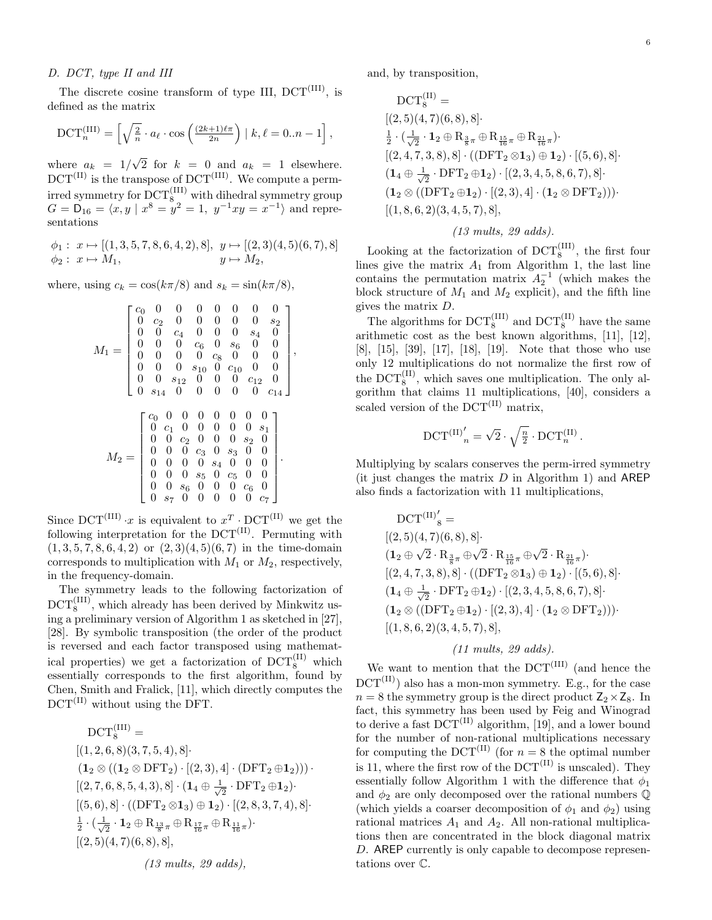#### D. DCT, type II and III

The discrete cosine transform of type III,  $DCT^{(III)}$ , is defined as the matrix

$$
\text{DCT}_n^{(\text{III})} = \left[ \sqrt{\frac{2}{n}} \cdot a_\ell \cdot \cos\left(\frac{(2k+1)\ell \pi}{2n}\right) \mid k, \ell = 0..n-1 \right],
$$

where  $a_k = 1/\sqrt{2}$  for  $k = 0$  and  $a_k = 1$  elsewhere.  $DCT^{(II)}$  is the transpose of  $DCT^{(III)}$ . We compute a permirred symmetry for  $\mathrm{DCT}_8^{(\mathrm{III})}$  with dihedral symmetry group  $G = D_{16} = \langle x, y \mid x^8 = y^2 = 1, y^{-1}xy = x^{-1} \rangle$  and representations

$$
\phi_1: x \mapsto [(1,3,5,7,8,6,4,2),8], y \mapsto [(2,3)(4,5)(6,7),8]
$$
  

$$
\phi_2: x \mapsto M_1, \qquad y \mapsto M_2,
$$

where, using  $c_k = \cos(k\pi/8)$  and  $s_k = \sin(k\pi/8)$ ,

$$
M_1 = \begin{bmatrix} c_0 & 0 & 0 & 0 & 0 & 0 & 0 & 0 & 0 \\ 0 & c_2 & 0 & 0 & 0 & 0 & 0 & s_2 \\ 0 & 0 & c_4 & 0 & 0 & 0 & s_4 & 0 \\ 0 & 0 & 0 & c_6 & 0 & s_6 & 0 & 0 \\ 0 & 0 & 0 & 0 & c_8 & 0 & 0 & 0 \\ 0 & 0 & 0 & s_{10} & 0 & c_{10} & 0 & 0 \\ 0 & 0 & s_{12} & 0 & 0 & 0 & c_{12} & 0 \\ 0 & s_{14} & 0 & 0 & 0 & 0 & 0 & 0 \\ 0 & c_2 & 0 & 0 & 0 & 0 & s_1 \\ 0 & 0 & c_2 & 0 & 0 & 0 & s_2 & 0 \\ 0 & 0 & 0 & c_3 & 0 & s_3 & 0 & 0 \\ 0 & 0 & 0 & s_4 & 0 & 0 & 0 & 0 \\ 0 & 0 & 0 & s_5 & 0 & c_5 & 0 & 0 \\ 0 & 0 & s_6 & 0 & 0 & 0 & 0 & c_7 \end{bmatrix}.
$$

Since  $DCT^{(III)} \cdot x$  is equivalent to  $x^T \cdot DCT^{(II)}$  we get the following interpretation for the  $DCT^{(II)}$ . Permuting with  $(1, 3, 5, 7, 8, 6, 4, 2)$  or  $(2, 3)(4, 5)(6, 7)$  in the time-domain corresponds to multiplication with  $M_1$  or  $M_2$ , respectively, in the frequency-domain.

The symmetry leads to the following factorization of  $\mathrm{DCT}_8^{(\mathrm{III})}$ , which already has been derived by Minkwitz using a preliminary version of Algorithm 1 as sketched in [27], [28]. By symbolic transposition (the order of the product is reversed and each factor transposed using mathematical properties) we get a factorization of  $DCT_8^{(II)}$  which essentially corresponds to the first algorithm, found by Chen, Smith and Fralick, [11], which directly computes the  $DCT^{(II)}$  without using the DFT.

$$
DCT_8^{(III)} =
$$
  
\n
$$
[(1, 2, 6, 8)(3, 7, 5, 4), 8]
$$
  
\n
$$
(1_2 \otimes ((1_2 \otimes DFT_2) \cdot [(2, 3), 4] \cdot (DFT_2 \oplus 1_2)))
$$
  
\n
$$
[(2, 7, 6, 8, 5, 4, 3), 8] \cdot (1_4 \oplus \frac{1}{\sqrt{2}} \cdot DFT_2 \oplus 1_2)
$$
  
\n
$$
[(5, 6), 8] \cdot ((DFT_2 \otimes 1_3) \oplus 1_2) \cdot [(2, 8, 3, 7, 4), 8]
$$
  
\n
$$
\frac{1}{2} \cdot (\frac{1}{\sqrt{2}} \cdot 1_2 \oplus R_{\frac{13}{8}\pi} \oplus R_{\frac{17}{16}\pi} \oplus R_{\frac{11}{16}\pi})
$$
  
\n
$$
[(2, 5)(4, 7)(6, 8), 8],
$$
  
\n
$$
(13 \text{ multis}, 29 \text{ adds}),
$$

and, by transposition,

$$
DCT_8^{(II)} =
$$
\n
$$
[(2,5)(4,7)(6,8),8]\cdot
$$
\n
$$
\frac{1}{2} \cdot (\frac{1}{\sqrt{2}} \cdot \mathbf{1}_2 \oplus R_{\frac{3}{8}\pi} \oplus R_{\frac{15}{16}\pi} \oplus R_{\frac{21}{16}\pi})\cdot
$$
\n
$$
[(2,4,7,3,8),8] \cdot ((DFT_2 \otimes \mathbf{1}_3) \oplus \mathbf{1}_2) \cdot [(5,6),8]\cdot
$$
\n
$$
(\mathbf{1}_4 \oplus \frac{1}{\sqrt{2}} \cdot DFT_2 \oplus \mathbf{1}_2) \cdot [(2,3,4,5,8,6,7),8]\cdot
$$
\n
$$
(\mathbf{1}_2 \otimes ((DFT_2 \oplus \mathbf{1}_2) \cdot [(2,3),4] \cdot (\mathbf{1}_2 \otimes DFT_2)))\cdot [(1,8,6,2)(3,4,5,7),8],
$$

## (13 mults, 29 adds).

Looking at the factorization of  $DCT_8^{\text{(III)}}$ , the first four lines give the matrix  $A_1$  from Algorithm 1, the last line contains the permutation matrix  $A_2^{-1}$  (which makes the block structure of  $M_1$  and  $M_2$  explicit), and the fifth line gives the matrix D.

The algorithms for  $DCT_8^{(III)}$  and  $DCT_8^{(II)}$  have the same arithmetic cost as the best known algorithms, [11], [12], [8], [15], [39], [17], [18], [19]. Note that those who use only 12 multiplications do not normalize the first row of the  $DCT_8^{(II)}$ , which saves one multiplication. The only algorithm that claims 11 multiplications, [40], considers a scaled version of the  $DCT^{(II)}$  matrix,

$$
\mathrm{DCT}^{(\mathrm{II})'}_{n} = \sqrt{2} \cdot \sqrt{\frac{n}{2}} \cdot \mathrm{DCT}_{n}^{(\mathrm{II})}.
$$

Multiplying by scalars conserves the perm-irred symmetry (it just changes the matrix  $D$  in Algorithm 1) and AREP also finds a factorization with 11 multiplications,

$$
DCT^{(II)}'_{8} =
$$
\n
$$
[(2,5)(4,7)(6,8),8]\cdot
$$
\n
$$
(1_{2} \oplus \sqrt{2} \cdot R_{\frac{3}{8}\pi} \oplus \sqrt{2} \cdot R_{\frac{15}{16}\pi} \oplus \sqrt{2} \cdot R_{\frac{21}{16}\pi})\cdot
$$
\n
$$
[(2,4,7,3,8),8] \cdot ((DFT_{2} \otimes 1_{3}) \oplus 1_{2}) \cdot [(5,6),8]\cdot
$$
\n
$$
(1_{4} \oplus \frac{1}{\sqrt{2}} \cdot DFT_{2} \oplus 1_{2}) \cdot [(2,3,4,5,8,6,7),8]\cdot
$$
\n
$$
(1_{2} \otimes ((DFT_{2} \oplus 1_{2}) \cdot [(2,3),4] \cdot (1_{2} \otimes DFT_{2})))\cdot [(1,8,6,2)(3,4,5,7),8],
$$

# (11 mults, 29 adds).

We want to mention that the  $DCT^{(III)}$  (and hence the  $DCT^{(II)}$ ) also has a mon-mon symmetry. E.g., for the case  $n = 8$  the symmetry group is the direct product  $Z_2 \times Z_8$ . In fact, this symmetry has been used by Feig and Winograd to derive a fast  $DCT^{(II)}$  algorithm, [19], and a lower bound for the number of non-rational multiplications necessary for computing the DCT<sup>(II)</sup> (for  $n = 8$  the optimal number is 11, where the first row of the  $DCT^{(II)}$  is unscaled). They essentially follow Algorithm 1 with the difference that  $\phi_1$ and  $\phi_2$  are only decomposed over the rational numbers  $\mathbb Q$ (which yields a coarser decomposition of  $\phi_1$  and  $\phi_2$ ) using rational matrices  $A_1$  and  $A_2$ . All non-rational multiplications then are concentrated in the block diagonal matrix D. AREP currently is only capable to decompose representations over C.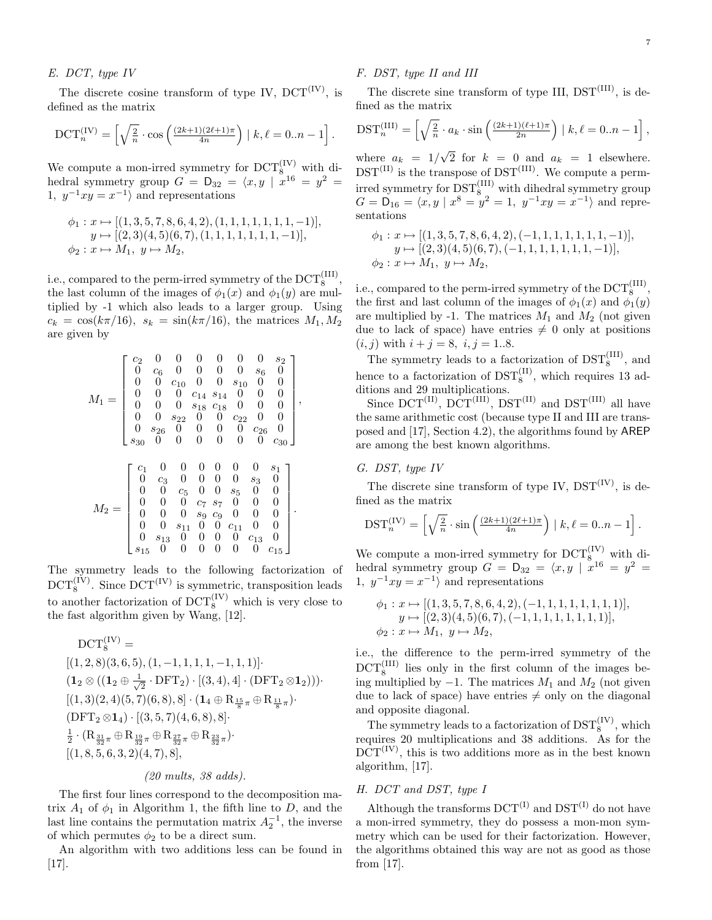### E. DCT, type IV

The discrete cosine transform of type IV,  $DCT^{(IV)}$ , is defined as the matrix

$$
\mathrm{DCT}_n^{(IV)} = \left[ \sqrt{\frac{2}{n}} \cdot \cos \left( \frac{(2k+1)(2\ell+1)\pi}{4n} \right) \mid k, \ell = 0..n-1 \right].
$$

We compute a mon-irred symmetry for  $DCT_8^{(IV)}$  with dihedral symmetry group  $G = D_{32} = \langle x, y | x^{16} = y^2 =$ 1,  $y^{-1}xy = x^{-1}$  and representations

$$
\phi_1: x \mapsto [(1,3,5,7,8,6,4,2), (1,1,1,1,1,1,1,-1)],
$$
  
\n
$$
y \mapsto [(2,3)(4,5)(6,7), (1,1,1,1,1,1,1,-1)],
$$
  
\n
$$
\phi_2: x \mapsto M_1, y \mapsto M_2,
$$

i.e., compared to the perm-irred symmetry of the  $\mathrm{DCT}_8^{(\mathrm{III})}$ , the last column of the images of  $\phi_1(x)$  and  $\phi_1(y)$  are multiplied by -1 which also leads to a larger group. Using  $c_k = \cos(k\pi/16), s_k = \sin(k\pi/16),$  the matrices  $M_1, M_2$ are given by

$$
M_1=\left[\begin{array}{ccccccc} c_2 & 0 & 0 & 0 & 0 & 0 & 0 & s_2 \\ 0 & c_6 & 0 & 0 & 0 & 0 & s_6 & 0 \\ 0 & 0 & c_{10} & 0 & 0 & s_{10} & 0 & 0 \\ 0 & 0 & 0 & c_{14} & s_{14} & 0 & 0 & 0 \\ 0 & 0 & 0 & s_{18} & c_{18} & 0 & 0 & 0 \\ 0 & 0 & s_{22} & 0 & 0 & c_{22} & 0 & 0 \\ 0 & s_{26} & 0 & 0 & 0 & 0 & c_{26} & 0 \\ s_{30} & 0 & 0 & 0 & 0 & 0 & 0 & s_3 \\ 0 & c_3 & 0 & 0 & 0 & 0 & s_3 & 0 \\ 0 & 0 & c_5 & 0 & 0 & s_5 & 0 & 0 \\ 0 & 0 & 0 & c_7 & s_7 & 0 & 0 & 0 \\ 0 & 0 & 0 & s_9 & c_9 & 0 & 0 & 0 \\ 0 & 0 & s_{11} & 0 & 0 & c_{11} & 0 & 0 \\ 0 & s_{13} & 0 & 0 & 0 & 0 & 0 & c_{15} \end{array}\right].
$$

The symmetry leads to the following factorization of  $\mathrm{DCT}_8^{(IV)}$ . Since  $\mathrm{DCT}^{(IV)}$  is symmetric, transposition leads to another factorization of  $\mathrm{DCT}_8^{(IV)}$  which is very close to the fast algorithm given by Wang, [12].

$$
DCT_8^{(IV)} =
$$
\n
$$
[(1,2,8)(3,6,5), (1,-1,1,1,1,-1,1,1)]
$$
\n
$$
(1_2 \otimes ((1_2 \oplus \frac{1}{\sqrt{2}} \cdot DFT_2) \cdot [(3,4),4] \cdot (DFT_2 \otimes 1_2)))
$$
\n
$$
[(1,3)(2,4)(5,7)(6,8),8] \cdot (1_4 \oplus R_{\frac{15}{8}\pi} \oplus R_{\frac{11}{8}\pi})
$$
\n
$$
(DFT_2 \otimes 1_4) \cdot [(3,5,7)(4,6,8),8]
$$
\n
$$
\frac{1}{2} \cdot (R_{\frac{31}{32}\pi} \oplus R_{\frac{19}{32}\pi} \oplus R_{\frac{27}{32}\pi} \oplus R_{\frac{23}{32}\pi})
$$
\n
$$
[(1,8,5,6,3,2)(4,7),8],
$$

## (20 mults, 38 adds).

The first four lines correspond to the decomposition matrix  $A_1$  of  $\phi_1$  in Algorithm 1, the fifth line to D, and the last line contains the permutation matrix  $A_2^{-1}$ , the inverse of which permutes  $\phi_2$  to be a direct sum.

An algorithm with two additions less can be found in [17].

## F. DST, type II and III

The discrete sine transform of type III,  $DST^{(III)}$ , is defined as the matrix

$$
DST_n^{(III)} = \left[\sqrt{\frac{2}{n}} \cdot a_k \cdot \sin\left(\frac{(2k+1)(\ell+1)\pi}{2n}\right) \mid k, \ell = 0..n-1\right],
$$

where  $a_k = 1/\sqrt{2}$  for  $k = 0$  and  $a_k = 1$  elsewhere.  $DST^{(II)}$  is the transpose of  $DST^{(III)}$ . We compute a permirred symmetry for  $\mathrm{DST}_8^{(\mathrm{III})}$  with dihedral symmetry group  $G = D_{16} = \langle x, y \mid x^8 = y^2 = 1, y^{-1}xy = x^{-1} \rangle$  and representations

$$
\phi_1: x \mapsto [(1,3,5,7,8,6,4,2), (-1,1,1,1,1,1,1,-1)],
$$
  
\n
$$
y \mapsto [(2,3)(4,5)(6,7), (-1,1,1,1,1,1,1,-1)],
$$
  
\n
$$
\phi_2: x \mapsto M_1, y \mapsto M_2,
$$

i.e., compared to the perm-irred symmetry of the  $\mathrm{DCT}_8^{(\mathrm{III})}$ , the first and last column of the images of  $\phi_1(x)$  and  $\phi_1(y)$ are multiplied by -1. The matrices  $M_1$  and  $M_2$  (not given due to lack of space) have entries  $\neq 0$  only at positions  $(i, j)$  with  $i + j = 8$ ,  $i, j = 1..8$ .

The symmetry leads to a factorization of  $\text{DST}_8^{\text{(III)}}$ , and hence to a factorization of  $\text{DST}_8^{(II)}$ , which requires 13 additions and 29 multiplications.

Since  $\overline{DCT^{(II)}}, \overline{DCT^{(III)}}, \overline{DST^{(II)}}$  and  $\overline{DST^{(III)}}$  all have the same arithmetic cost (because type II and III are transposed and [17], Section 4.2), the algorithms found by AREP are among the best known algorithms.

## G. DST, type IV

The discrete sine transform of type IV,  $DST^{(IV)}$ , is defined as the matrix

$$
\text{DST}_n^{(IV)} = \left[ \sqrt{\frac{2}{n}} \cdot \sin \left( \frac{(2k+1)(2\ell+1)\pi}{4n} \right) \mid k, \ell = 0..n-1 \right].
$$

We compute a mon-irred symmetry for  $DCT_8^{(IV)}$  with dihedral symmetry group  $G = D_{32} = \langle x, y | x^{16} = y^2 =$ 1,  $y^{-1}xy = x^{-1}$  and representations

$$
\phi_1: x \mapsto [(1,3,5,7,8,6,4,2), (-1,1,1,1,1,1,1,1)],
$$
  
\n
$$
y \mapsto [(2,3)(4,5)(6,7), (-1,1,1,1,1,1,1,1)],
$$
  
\n
$$
\phi_2: x \mapsto M_1, y \mapsto M_2,
$$

i.e., the difference to the perm-irred symmetry of the  $DCT_8^{\text{(III)}}$  lies only in the first column of the images being multiplied by  $-1$ . The matrices  $M_1$  and  $M_2$  (not given due to lack of space) have entries  $\neq$  only on the diagonal and opposite diagonal.

The symmetry leads to a factorization of  $\text{DST}_8^{\text{(IV)}}$ , which requires 20 multiplications and 38 additions. As for the  $DCT^{(IV)}$ , this is two additions more as in the best known algorithm, [17].

## H. DCT and DST, type I

Although the transforms  $DCT^{(I)}$  and  $DST^{(I)}$  do not have a mon-irred symmetry, they do possess a mon-mon symmetry which can be used for their factorization. However, the algorithms obtained this way are not as good as those from [17].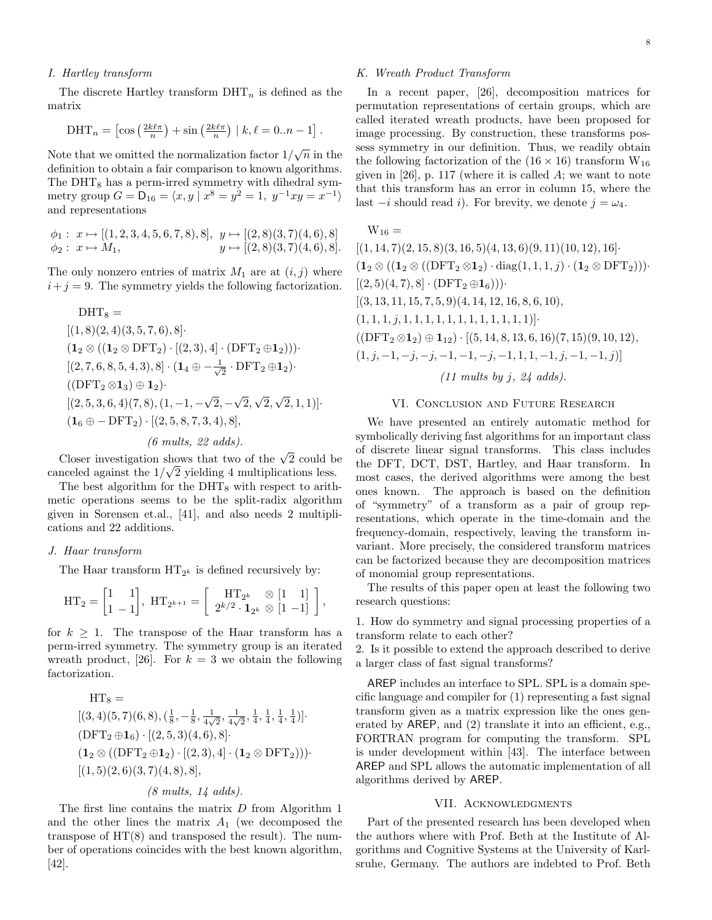## I. Hartley transform

The discrete Hartley transform  $\text{DHT}_n$  is defined as the matrix

$$
\text{DHT}_n = \left[ \cos\left(\frac{2k\ell\pi}{n}\right) + \sin\left(\frac{2k\ell\pi}{n}\right) \mid k, \ell = 0..n - 1 \right].
$$

Note that we omitted the normalization factor  $1/\sqrt{n}$  in the definition to obtain a fair comparison to known algorithms. The  $\text{DHT}_8$  has a perm-irred symmetry with dihedral symmetry group  $G = D_{16} = \langle x, y | x^8 = y^2 = 1, y^{-1}xy = x^{-1} \rangle$ and representations

$$
\phi_1: x \mapsto [(1, 2, 3, 4, 5, 6, 7, 8), 8], y \mapsto [(2, 8)(3, 7)(4, 6), 8]
$$
  

$$
\phi_2: x \mapsto M_1, \qquad y \mapsto [(2, 8)(3, 7)(4, 6), 8].
$$

The only nonzero entries of matrix  $M_1$  are at  $(i, j)$  where  $i+j = 9$ . The symmetry yields the following factorization.

$$
DHT_8 =
$$
\n
$$
[(1, 8)(2, 4)(3, 5, 7, 6), 8]
$$
\n
$$
(1_2 \otimes ((1_2 \otimes DFT_2) \cdot [(2, 3), 4] \cdot (DFT_2 \oplus 1_2)))
$$
\n
$$
[(2, 7, 6, 8, 5, 4, 3), 8] \cdot (1_4 \oplus -\frac{1}{\sqrt{2}} \cdot DFT_2 \oplus 1_2)
$$
\n
$$
((DFT_2 \otimes 1_3) \oplus 1_2)
$$
\n
$$
[(2, 5, 3, 6, 4)(7, 8), (1, -1, -\sqrt{2}, -\sqrt{2}, \sqrt{2}, \sqrt{2}, 1, 1)]
$$
\n
$$
(1_6 \oplus -DFT_2) \cdot [(2, 5, 8, 7, 3, 4), 8],
$$
\n
$$
(6 \text{ multis}, 22 \text{ adds}).
$$

Closer investigation shows that two of the  $\sqrt{2}$  could be canceled against the  $1/\sqrt{2}$  yielding 4 multiplications less.

The best algorithm for the  $\text{DHT}_8$  with respect to arithmetic operations seems to be the split-radix algorithm given in Sorensen et.al., [41], and also needs 2 multiplications and 22 additions.

#### J. Haar transform

The Haar transform  $HT_{2^k}$  is defined recursively by:

$$
\mathrm{HT}_2 = \begin{bmatrix} 1 & 1 \\ 1 & -1 \end{bmatrix}, \ \mathrm{HT}_{2^{k+1}} = \begin{bmatrix} \mathrm{HT}_{2^k} & \otimes \begin{bmatrix} 1 & 1 \end{bmatrix} \\ 2^{k/2} \cdot \mathbf{1}_{2^k} & \otimes \begin{bmatrix} 1 & -1 \end{bmatrix} \end{bmatrix},
$$

for  $k \geq 1$ . The transpose of the Haar transform has a perm-irred symmetry. The symmetry group is an iterated wreath product, [26]. For  $k = 3$  we obtain the following factorization.

$$
HT_8 =
$$
\n
$$
[(3,4)(5,7)(6,8), (\frac{1}{8}, -\frac{1}{8}, \frac{1}{4\sqrt{2}}, \frac{1}{4\sqrt{2}}, \frac{1}{4}, \frac{1}{4}, \frac{1}{4}, \frac{1}{4})].
$$
\n
$$
(DFT_2 \oplus 1_6) \cdot [(2,5,3)(4,6), 8].
$$
\n
$$
(1_2 \otimes ((DFT_2 \oplus 1_2) \cdot [(2,3), 4] \cdot (1_2 \otimes DFT_2))).
$$
\n
$$
[(1,5)(2,6)(3,7)(4,8), 8],
$$

## (8 mults, 14 adds).

The first line contains the matrix D from Algorithm 1 and the other lines the matrix  $A_1$  (we decomposed the transpose of  $HT(8)$  and transposed the result). The number of operations coincides with the best known algorithm, [42].

### K. Wreath Product Transform

In a recent paper, [26], decomposition matrices for permutation representations of certain groups, which are called iterated wreath products, have been proposed for image processing. By construction, these transforms possess symmetry in our definition. Thus, we readily obtain the following factorization of the  $(16 \times 16)$  transform  $W_{16}$ given in  $[26]$ , p. 117 (where it is called A; we want to note that this transform has an error in column 15, where the last  $-i$  should read i). For brevity, we denote  $j = \omega_4$ .

 $W_{16} =$ 

 $[(1, 14, 7)(2, 15, 8)(3, 16, 5)(4, 13, 6)(9, 11)(10, 12), 16]$  $(1_2 \otimes ((1_2 \otimes ((DFT_2 \otimes 1_2) \cdot diag(1, 1, 1, j) \cdot (1_2 \otimes DFT_2)))$  $[(2, 5)(4, 7), 8] \cdot (DFT_2 \oplus 1_6))$  $[(3, 13, 11, 15, 7, 5, 9)(4, 14, 12, 16, 8, 6, 10),$  $(1, 1, 1, j, 1, 1, 1, 1, 1, 1, 1, 1, 1, 1, 1, 1)$ ]  $((\text{DFT}_2 \otimes \mathbf{1}_2) \oplus \mathbf{1}_{12}) \cdot [(5, 14, 8, 13, 6, 16)(7, 15)(9, 10, 12),$  $(1, j, -1, -j, -j, -1, -1, -j, -1, 1, 1, -1, j, -1, -1, j)$ ]  $(11 \text{ multis by } j, 24 \text{ adds}).$ 

#### VI. Conclusion and Future Research

We have presented an entirely automatic method for symbolically deriving fast algorithms for an important class of discrete linear signal transforms. This class includes the DFT, DCT, DST, Hartley, and Haar transform. In most cases, the derived algorithms were among the best ones known. The approach is based on the definition of "symmetry" of a transform as a pair of group representations, which operate in the time-domain and the frequency-domain, respectively, leaving the transform invariant. More precisely, the considered transform matrices can be factorized because they are decomposition matrices of monomial group representations.

The results of this paper open at least the following two research questions:

1. How do symmetry and signal processing properties of a transform relate to each other?

2. Is it possible to extend the approach described to derive a larger class of fast signal transforms?

AREP includes an interface to SPL. SPL is a domain specific language and compiler for (1) representing a fast signal transform given as a matrix expression like the ones generated by AREP, and (2) translate it into an efficient, e.g., FORTRAN program for computing the transform. SPL is under development within [43]. The interface between AREP and SPL allows the automatic implementation of all algorithms derived by AREP.

#### VII. Acknowledgments

Part of the presented research has been developed when the authors where with Prof. Beth at the Institute of Algorithms and Cognitive Systems at the University of Karlsruhe, Germany. The authors are indebted to Prof. Beth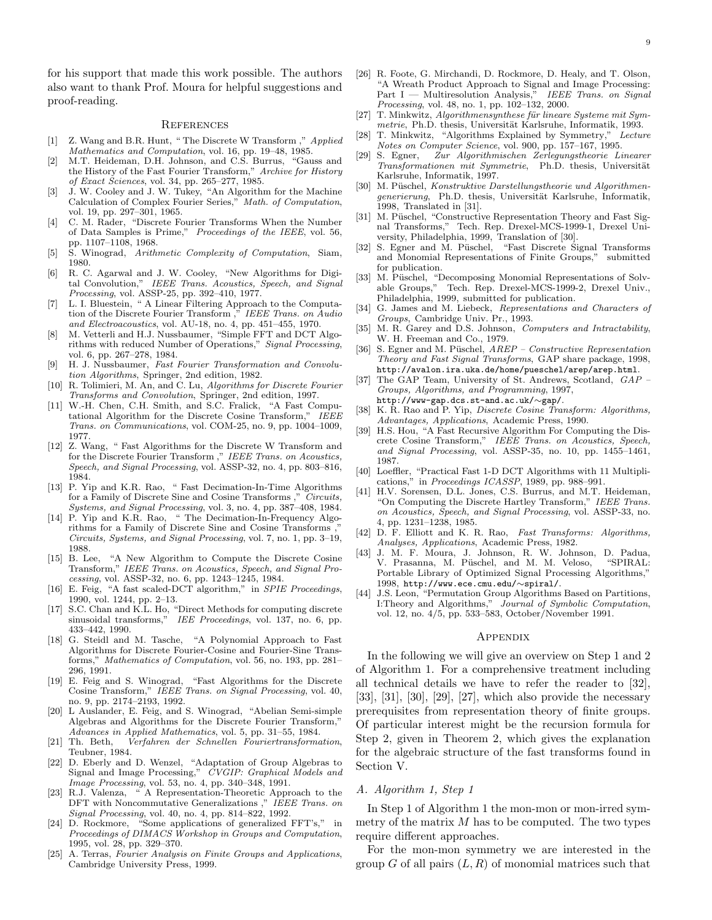for his support that made this work possible. The authors also want to thank Prof. Moura for helpful suggestions and proof-reading.

#### **REFERENCES**

- [1] Z. Wang and B.R. Hunt, " The Discrete W Transform ," Applied Mathematics and Computation, vol. 16, pp. 19–48, 1985.
- [2] M.T. Heideman, D.H. Johnson, and C.S. Burrus, "Gauss and the History of the Fast Fourier Transform," Archive for History of Exact Sciences, vol. 34, pp. 265–277, 1985.
- [3] J. W. Cooley and J. W. Tukey, "An Algorithm for the Machine Calculation of Complex Fourier Series," Math. of Computation, vol. 19, pp. 297–301, 1965.
- [4] C. M. Rader, "Discrete Fourier Transforms When the Number of Data Samples is Prime," Proceedings of the IEEE, vol. 56, pp. 1107–1108, 1968.
- [5] S. Winograd, Arithmetic Complexity of Computation, Siam, 1980.
- [6] R. C. Agarwal and J. W. Cooley, "New Algorithms for Digital Convolution," IEEE Trans. Acoustics, Speech, and Signal Processing, vol. ASSP-25, pp. 392–410, 1977.
- [7] L. I. Bluestein, " A Linear Filtering Approach to the Computation of the Discrete Fourier Transform ," IEEE Trans. on Audio and Electroacoustics, vol. AU-18, no. 4, pp. 451–455, 1970.
- [8] M. Vetterli and H.J. Nussbaumer, "Simple FFT and DCT Algorithms with reduced Number of Operations," Signal Processing, vol. 6, pp. 267–278, 1984.
- [9] H. J. Nussbaumer, Fast Fourier Transformation and Convolution Algorithms, Springer, 2nd edition, 1982.
- [10] R. Tolimieri, M. An, and C. Lu, Algorithms for Discrete Fourier Transforms and Convolution, Springer, 2nd edition, 1997.
- [11] W.-H. Chen, C.H. Smith, and S.C. Fralick, "A Fast Computational Algorithm for the Discrete Cosine Transform," IEEE Trans. on Communications, vol. COM-25, no. 9, pp. 1004–1009, 1977.
- [12] Z. Wang, " Fast Algorithms for the Discrete W Transform and for the Discrete Fourier Transform," IEEE Trans. on Acoustics, Speech, and Signal Processing, vol. ASSP-32, no. 4, pp. 803–816, 1984.
- [13] P. Yip and K.R. Rao, " Fast Decimation-In-Time Algorithms for a Family of Discrete Sine and Cosine Transforms," Circuits, Systems, and Signal Processing, vol. 3, no. 4, pp. 387–408, 1984.
- [14] P. Yip and K.R. Rao, " The Decimation-In-Frequency Algorithms for a Family of Discrete Sine and Cosine Transforms, Circuits, Systems, and Signal Processing, vol. 7, no. 1, pp. 3–19, 1988.
- [15] B. Lee, "A New Algorithm to Compute the Discrete Cosine Transform," IEEE Trans. on Acoustics, Speech, and Signal Processing, vol. ASSP-32, no. 6, pp. 1243–1245, 1984.
- [16] E. Feig, "A fast scaled-DCT algorithm," in SPIE Proceedings, 1990, vol. 1244, pp. 2–13.
- [17] S.C. Chan and K.L. Ho, "Direct Methods for computing discrete sinusoidal transforms," IEE Proceedings, vol. 137, no. 6, pp. 433–442, 1990.
- [18] G. Steidl and M. Tasche, "A Polynomial Approach to Fast Algorithms for Discrete Fourier-Cosine and Fourier-Sine Transforms," Mathematics of Computation, vol. 56, no. 193, pp. 281– 296, 1991.
- [19] E. Feig and S. Winograd, "Fast Algorithms for the Discrete Cosine Transform," IEEE Trans. on Signal Processing, vol. 40, no. 9, pp. 2174–2193, 1992.
- [20] L Auslander, E. Feig, and S. Winograd, "Abelian Semi-simple Algebras and Algorithms for the Discrete Fourier Transform," Advances in Applied Mathematics, vol. 5, pp. 31–55, 1984.
- [21] Th. Beth, Verfahren der Schnellen Fouriertransformation, Teubner, 1984.
- [22] D. Eberly and D. Wenzel, "Adaptation of Group Algebras to Signal and Image Processing," CVGIP: Graphical Models and Image Processing, vol. 53, no. 4, pp. 340–348, 1991.
- [23] R.J. Valenza, " A Representation-Theoretic Approach to the DFT with Noncommutative Generalizations," IEEE Trans. on Signal Processing, vol. 40, no. 4, pp. 814–822, 1992.
- [24] D. Rockmore, "Some applications of generalized FFT's," in Proceedings of DIMACS Workshop in Groups and Computation, 1995, vol. 28, pp. 329–370.
- [25] A. Terras, Fourier Analysis on Finite Groups and Applications, Cambridge University Press, 1999.
- [26] R. Foote, G. Mirchandi, D. Rockmore, D. Healy, and T. Olson, "A Wreath Product Approach to Signal and Image Processing: Part I — Multiresolution Analysis," IEEE Trans. on Signal Processing, vol. 48, no. 1, pp. 102–132, 2000.
- [27] T. Minkwitz, Algorithmensynthese für lineare Systeme mit Symmetrie, Ph.D. thesis, Universität Karlsruhe, Informatik, 1993.
- [28] T. Minkwitz, "Algorithms Explained by Symmetry," Lecture Notes on Computer Science, vol. 900, pp. 157–167, 1995.
- [29] S. Egner, Zur Algorithmischen Zerlegungstheorie Linearer Transformationen mit Symmetrie, Ph.D. thesis, Universität Karlsruhe, Informatik, 1997.
- [30] M. Püschel, Konstruktive Darstellungstheorie und Algorithmengenerierung, Ph.D. thesis, Universität Karlsruhe, Informatik, 1998, Translated in [31].
- [31] M. Püschel, "Constructive Representation Theory and Fast Signal Transforms," Tech. Rep. Drexel-MCS-1999-1, Drexel University, Philadelphia, 1999, Translation of [30].
- [32] S. Egner and M. Püschel, "Fast Discrete Signal Transforms and Monomial Representations of Finite Groups," submitted for publication.
- [33] M. Püschel, "Decomposing Monomial Representations of Solvable Groups," Tech. Rep. Drexel-MCS-1999-2, Drexel Univ., Philadelphia, 1999, submitted for publication.
- [34] G. James and M. Liebeck, Representations and Characters of Groups, Cambridge Univ. Pr., 1993.
- [35] M. R. Garey and D.S. Johnson, Computers and Intractability, W. H. Freeman and Co., 1979.
- [36] S. Egner and M. Püschel,  $AREP Constructive Representation$ Theory and Fast Signal Transforms, GAP share package, 1998, http://avalon.ira.uka.de/home/pueschel/arep/arep.html.
- [37] The GAP Team, University of St. Andrews, Scotland, GAP -Groups, Algorithms, and Programming, 1997, http://www-gap.dcs.st-and.ac.uk/∼gap/.
- [38] K. R. Rao and P. Yip, *Discrete Cosine Transform: Algorithms*, Advantages, Applications, Academic Press, 1990.
- [39] H.S. Hou, "A Fast Recursive Algorithm For Computing the Discrete Cosine Transform," IEEE Trans. on Acoustics, Speech, and Signal Processing, vol. ASSP-35, no. 10, pp. 1455–1461, 1987.
- [40] Loeffler, "Practical Fast 1-D DCT Algorithms with 11 Multiplications," in Proceedings ICASSP, 1989, pp. 988–991.
- [41] H.V. Sorensen, D.L. Jones, C.S. Burrus, and M.T. Heideman, "On Computing the Discrete Hartley Transform," IEEE Trans. on Acoustics, Speech, and Signal Processing, vol. ASSP-33, no. 4, pp. 1231–1238, 1985.
- [42] D. F. Elliott and K. R. Rao, Fast Transforms: Algorithms, Analyses, Applications, Academic Press, 1982.
- [43] J. M. F. Moura, J. Johnson, R. W. Johnson, D. Padua, V. Prasanna, M. Püschel, and M. M. Veloso, "SPIRAL: Portable Library of Optimized Signal Processing Algorithms," 1998, http://www.ece.cmu.edu/∼spiral/.
- [44] J.S. Leon, "Permutation Group Algorithms Based on Partitions, I:Theory and Algorithms," Journal of Symbolic Computation, vol. 12, no. 4/5, pp. 533–583, October/November 1991.

#### Appendix

In the following we will give an overview on Step 1 and 2 of Algorithm 1. For a comprehensive treatment including all technical details we have to refer the reader to [32], [33], [31], [30], [29], [27], which also provide the necessary prerequisites from representation theory of finite groups. Of particular interest might be the recursion formula for Step 2, given in Theorem 2, which gives the explanation for the algebraic structure of the fast transforms found in Section V.

#### A. Algorithm 1, Step 1

In Step 1 of Algorithm 1 the mon-mon or mon-irred symmetry of the matrix  $M$  has to be computed. The two types require different approaches.

For the mon-mon symmetry we are interested in the group G of all pairs  $(L, R)$  of monomial matrices such that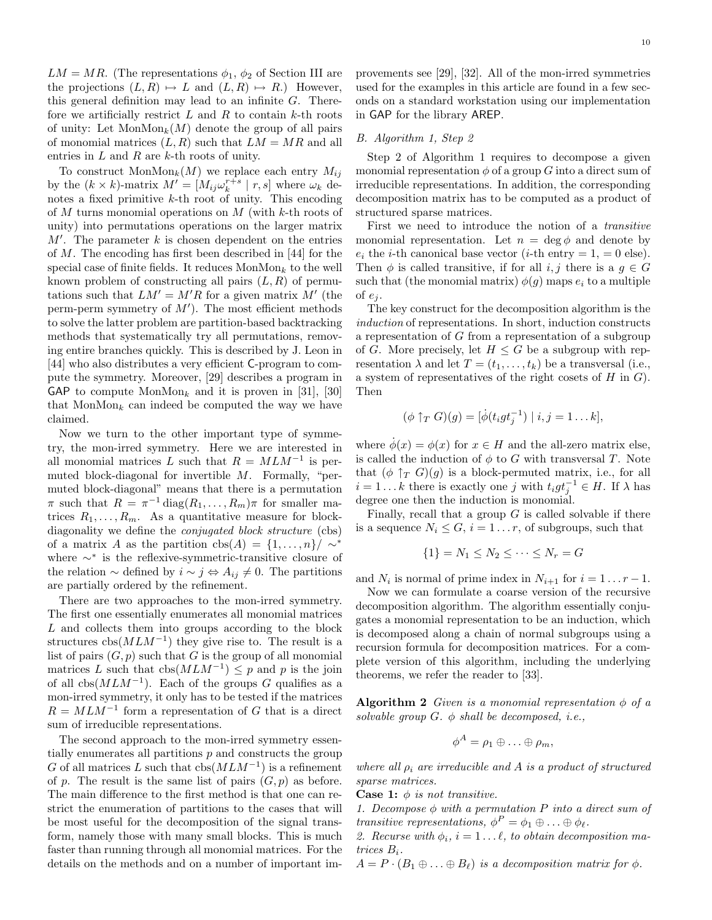$LM = MR$ . (The representations  $\phi_1, \phi_2$  of Section III are the projections  $(L,R) \mapsto L$  and  $(L,R) \mapsto R$ .) However, this general definition may lead to an infinite  $G$ . Therefore we artificially restrict  $L$  and  $R$  to contain  $k$ -th roots of unity: Let  $MonMon_k(M)$  denote the group of all pairs of monomial matrices  $(L, R)$  such that  $LM = MR$  and all entries in  $L$  and  $R$  are  $k$ -th roots of unity.

To construct  $MonMon_k(M)$  we replace each entry  $M_{ij}$ by the  $(k \times k)$ -matrix  $M' = [M_{ij}\omega_k^{r+s} | r, s]$  where  $\omega_k$  denotes a fixed primitive  $k$ -th root of unity. This encoding of M turns monomial operations on M (with k-th roots of unity) into permutations operations on the larger matrix  $M'$ . The parameter k is chosen dependent on the entries of M. The encoding has first been described in [44] for the special case of finite fields. It reduces  $MonMon_k$  to the well known problem of constructing all pairs  $(L, R)$  of permutations such that  $LM' = M'R$  for a given matrix M' (the perm-perm symmetry of  $M'$ ). The most efficient methods to solve the latter problem are partition-based backtracking methods that systematically try all permutations, removing entire branches quickly. This is described by J. Leon in [44] who also distributes a very efficient C-program to compute the symmetry. Moreover, [29] describes a program in GAP to compute  $MonMon_k$  and it is proven in [31], [30] that MonMon<sub>k</sub> can indeed be computed the way we have claimed.

Now we turn to the other important type of symmetry, the mon-irred symmetry. Here we are interested in all monomial matrices L such that  $R = MLM^{-1}$  is permuted block-diagonal for invertible M. Formally, "permuted block-diagonal" means that there is a permutation  $\pi$  such that  $R = \pi^{-1} \text{diag}(R_1, \ldots, R_m) \pi$  for smaller matrices  $R_1, \ldots, R_m$ . As a quantitative measure for blockdiagonality we define the conjugated block structure (cbs) of a matrix A as the partition  $\text{cbs}(A) = \{1, \ldots, n\} / \sim^*$ where  $\sim^*$  is the reflexive-symmetric-transitive closure of the relation  $\sim$  defined by  $i \sim j \Leftrightarrow A_{ij} \neq 0$ . The partitions are partially ordered by the refinement.

There are two approaches to the mon-irred symmetry. The first one essentially enumerates all monomial matrices L and collects them into groups according to the block structures  $\cos(MLM^{-1})$  they give rise to. The result is a list of pairs  $(G, p)$  such that G is the group of all monomial matrices L such that  $\text{cbs}(MLM^{-1}) \leq p$  and p is the join of all  $\text{cbs}(MLM^{-1})$ . Each of the groups G qualifies as a mon-irred symmetry, it only has to be tested if the matrices  $R = MLM^{-1}$  form a representation of G that is a direct sum of irreducible representations.

The second approach to the mon-irred symmetry essentially enumerates all partitions  $p$  and constructs the group G of all matrices L such that  $\cos(MLM^{-1})$  is a refinement of p. The result is the same list of pairs  $(G, p)$  as before. The main difference to the first method is that one can restrict the enumeration of partitions to the cases that will be most useful for the decomposition of the signal transform, namely those with many small blocks. This is much faster than running through all monomial matrices. For the details on the methods and on a number of important improvements see [29], [32]. All of the mon-irred symmetries used for the examples in this article are found in a few seconds on a standard workstation using our implementation in GAP for the library AREP.

## B. Algorithm 1, Step 2

Step 2 of Algorithm 1 requires to decompose a given monomial representation  $\phi$  of a group G into a direct sum of irreducible representations. In addition, the corresponding decomposition matrix has to be computed as a product of structured sparse matrices.

First we need to introduce the notion of a transitive monomial representation. Let  $n = \deg \phi$  and denote by  $e_i$  the *i*-th canonical base vector (*i*-th entry = 1, = 0 else). Then  $\phi$  is called transitive, if for all i, j there is a  $g \in G$ such that (the monomial matrix)  $\phi(g)$  maps  $e_i$  to a multiple of  $e_i$ .

The key construct for the decomposition algorithm is the induction of representations. In short, induction constructs a representation of G from a representation of a subgroup of G. More precisely, let  $H \leq G$  be a subgroup with representation  $\lambda$  and let  $T = (t_1, \ldots, t_k)$  be a transversal (i.e., a system of representatives of the right cosets of  $H$  in  $G$ ). Then

$$
(\phi \uparrow_T G)(g) = [\dot{\phi}(t_igt_j^{-1}) \mid i, j = 1...k],
$$

where  $\phi(x) = \phi(x)$  for  $x \in H$  and the all-zero matrix else, is called the induction of  $\phi$  to G with transversal T. Note that  $(\phi \uparrow_T G)(g)$  is a block-permuted matrix, i.e., for all  $i = 1...k$  there is exactly one j with  $t_i g t_j^{-1} \in H$ . If  $\lambda$  has degree one then the induction is monomial.

Finally, recall that a group  $G$  is called solvable if there is a sequence  $N_i \leq G$ ,  $i = 1 \ldots r$ , of subgroups, such that

$$
\{1\} = N_1 \leq N_2 \leq \cdots \leq N_r = G
$$

and  $N_i$  is normal of prime index in  $N_{i+1}$  for  $i = 1 \dots r-1$ .

Now we can formulate a coarse version of the recursive decomposition algorithm. The algorithm essentially conjugates a monomial representation to be an induction, which is decomposed along a chain of normal subgroups using a recursion formula for decomposition matrices. For a complete version of this algorithm, including the underlying theorems, we refer the reader to [33].

**Algorithm 2** Given is a monomial representation  $\phi$  of a solvable group  $G. \phi$  shall be decomposed, i.e.,

$$
\phi^A=\rho_1\oplus\ldots\oplus\rho_m,
$$

where all  $\rho_i$  are irreducible and A is a product of structured sparse matrices.

**Case 1:**  $\phi$  is not transitive.

1. Decompose  $\phi$  with a permutation P into a direct sum of transitive representations,  $\phi^P = \phi_1 \oplus \ldots \oplus \phi_\ell$ .

2. Recurse with  $\phi_i$ ,  $i = 1 \dots \ell$ , to obtain decomposition matrices  $B_i$ .

 $A = P \cdot (B_1 \oplus \ldots \oplus B_\ell)$  is a decomposition matrix for  $\phi$ .